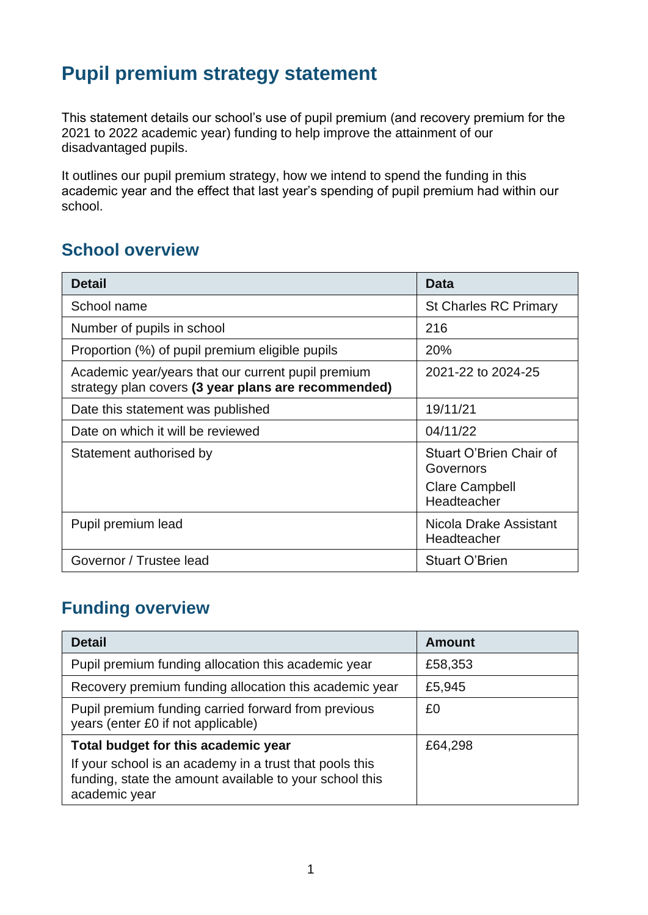# **Pupil premium strategy statement**

This statement details our school's use of pupil premium (and recovery premium for the 2021 to 2022 academic year) funding to help improve the attainment of our disadvantaged pupils.

It outlines our pupil premium strategy, how we intend to spend the funding in this academic year and the effect that last year's spending of pupil premium had within our school.

#### **School overview**

| <b>Detail</b>                                                                                             | <b>Data</b>                                                                  |
|-----------------------------------------------------------------------------------------------------------|------------------------------------------------------------------------------|
| School name                                                                                               | <b>St Charles RC Primary</b>                                                 |
| Number of pupils in school                                                                                | 216                                                                          |
| Proportion (%) of pupil premium eligible pupils                                                           | 20%                                                                          |
| Academic year/years that our current pupil premium<br>strategy plan covers (3 year plans are recommended) | 2021-22 to 2024-25                                                           |
| Date this statement was published                                                                         | 19/11/21                                                                     |
| Date on which it will be reviewed                                                                         | 04/11/22                                                                     |
| Statement authorised by                                                                                   | Stuart O'Brien Chair of<br>Governors<br><b>Clare Campbell</b><br>Headteacher |
| Pupil premium lead                                                                                        | Nicola Drake Assistant<br>Headteacher                                        |
| Governor / Trustee lead                                                                                   | <b>Stuart O'Brien</b>                                                        |

#### **Funding overview**

| <b>Detail</b>                                                                                                                                                              | <b>Amount</b> |
|----------------------------------------------------------------------------------------------------------------------------------------------------------------------------|---------------|
| Pupil premium funding allocation this academic year                                                                                                                        | £58,353       |
| Recovery premium funding allocation this academic year                                                                                                                     | £5,945        |
| Pupil premium funding carried forward from previous<br>years (enter £0 if not applicable)                                                                                  | £0            |
| Total budget for this academic year<br>If your school is an academy in a trust that pools this<br>funding, state the amount available to your school this<br>academic year | £64,298       |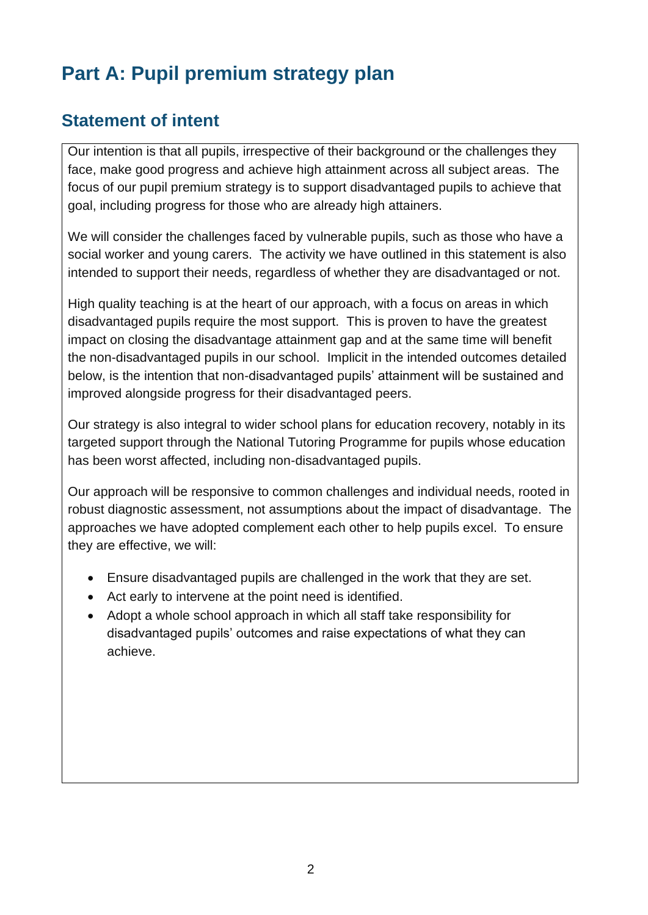# **Part A: Pupil premium strategy plan**

#### **Statement of intent**

Our intention is that all pupils, irrespective of their background or the challenges they face, make good progress and achieve high attainment across all subject areas. The focus of our pupil premium strategy is to support disadvantaged pupils to achieve that goal, including progress for those who are already high attainers.

We will consider the challenges faced by vulnerable pupils, such as those who have a social worker and young carers. The activity we have outlined in this statement is also intended to support their needs, regardless of whether they are disadvantaged or not.

High quality teaching is at the heart of our approach, with a focus on areas in which disadvantaged pupils require the most support. This is proven to have the greatest impact on closing the disadvantage attainment gap and at the same time will benefit the non-disadvantaged pupils in our school. Implicit in the intended outcomes detailed below, is the intention that non-disadvantaged pupils' attainment will be sustained and improved alongside progress for their disadvantaged peers.

Our strategy is also integral to wider school plans for education recovery, notably in its targeted support through the National Tutoring Programme for pupils whose education has been worst affected, including non-disadvantaged pupils.

Our approach will be responsive to common challenges and individual needs, rooted in robust diagnostic assessment, not assumptions about the impact of disadvantage. The approaches we have adopted complement each other to help pupils excel. To ensure they are effective, we will:

- Ensure disadvantaged pupils are challenged in the work that they are set.
- Act early to intervene at the point need is identified.
- Adopt a whole school approach in which all staff take responsibility for disadvantaged pupils' outcomes and raise expectations of what they can achieve.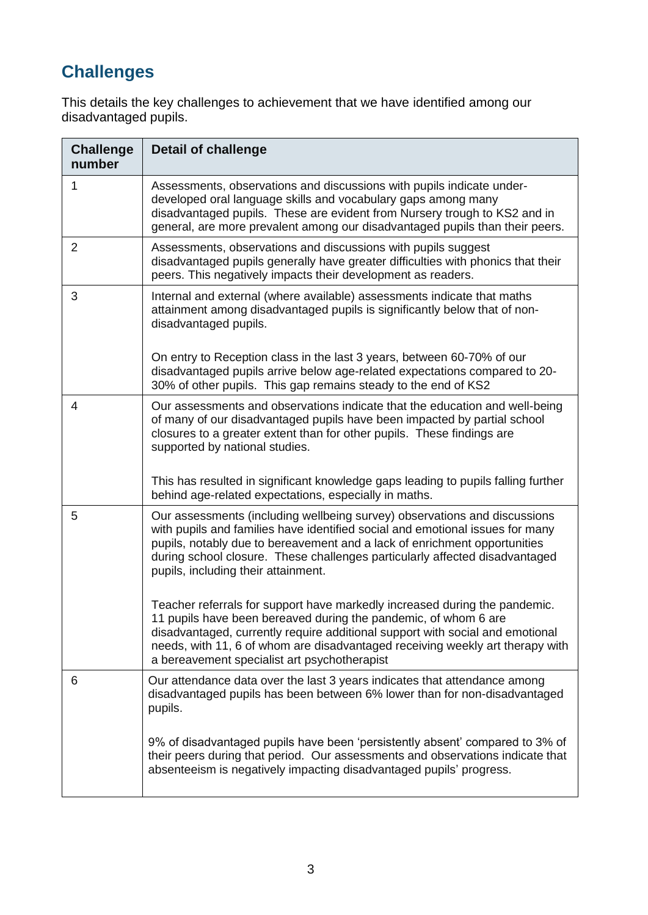# **Challenges**

This details the key challenges to achievement that we have identified among our disadvantaged pupils.

| <b>Challenge</b><br>number | <b>Detail of challenge</b>                                                                                                                                                                                                                                                                                                                                      |
|----------------------------|-----------------------------------------------------------------------------------------------------------------------------------------------------------------------------------------------------------------------------------------------------------------------------------------------------------------------------------------------------------------|
| 1                          | Assessments, observations and discussions with pupils indicate under-<br>developed oral language skills and vocabulary gaps among many<br>disadvantaged pupils. These are evident from Nursery trough to KS2 and in<br>general, are more prevalent among our disadvantaged pupils than their peers.                                                             |
| 2                          | Assessments, observations and discussions with pupils suggest<br>disadvantaged pupils generally have greater difficulties with phonics that their<br>peers. This negatively impacts their development as readers.                                                                                                                                               |
| 3                          | Internal and external (where available) assessments indicate that maths<br>attainment among disadvantaged pupils is significantly below that of non-<br>disadvantaged pupils.                                                                                                                                                                                   |
|                            | On entry to Reception class in the last 3 years, between 60-70% of our<br>disadvantaged pupils arrive below age-related expectations compared to 20-<br>30% of other pupils. This gap remains steady to the end of KS2                                                                                                                                          |
| 4                          | Our assessments and observations indicate that the education and well-being<br>of many of our disadvantaged pupils have been impacted by partial school<br>closures to a greater extent than for other pupils. These findings are<br>supported by national studies.                                                                                             |
|                            | This has resulted in significant knowledge gaps leading to pupils falling further<br>behind age-related expectations, especially in maths.                                                                                                                                                                                                                      |
| 5                          | Our assessments (including wellbeing survey) observations and discussions<br>with pupils and families have identified social and emotional issues for many<br>pupils, notably due to bereavement and a lack of enrichment opportunities<br>during school closure. These challenges particularly affected disadvantaged<br>pupils, including their attainment.   |
|                            | Teacher referrals for support have markedly increased during the pandemic.<br>11 pupils have been bereaved during the pandemic, of whom 6 are<br>disadvantaged, currently require additional support with social and emotional<br>needs, with 11, 6 of whom are disadvantaged receiving weekly art therapy with<br>a bereavement specialist art psychotherapist |
| 6                          | Our attendance data over the last 3 years indicates that attendance among<br>disadvantaged pupils has been between 6% lower than for non-disadvantaged<br>pupils.                                                                                                                                                                                               |
|                            | 9% of disadvantaged pupils have been 'persistently absent' compared to 3% of<br>their peers during that period. Our assessments and observations indicate that<br>absenteeism is negatively impacting disadvantaged pupils' progress.                                                                                                                           |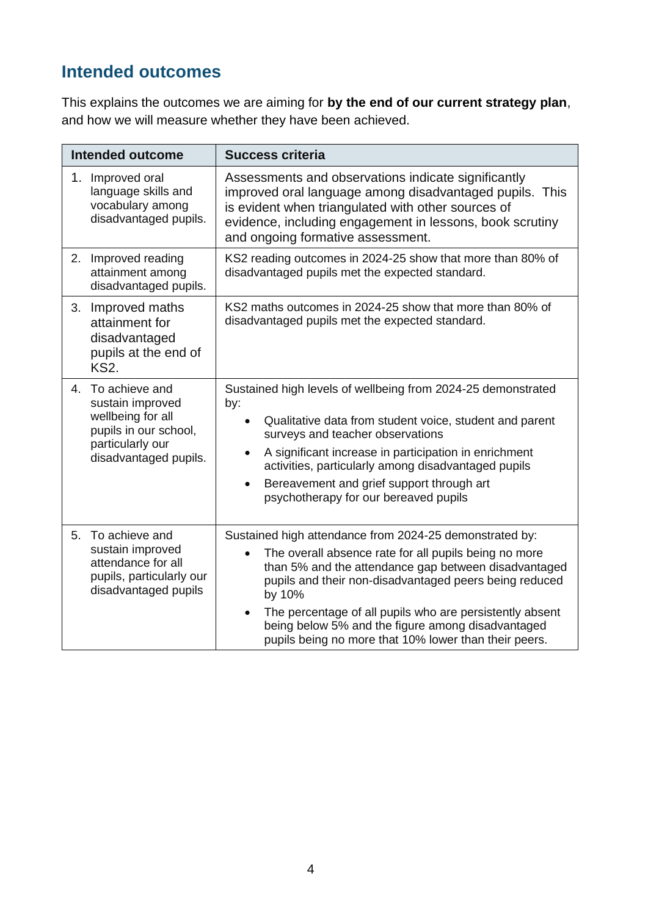## **Intended outcomes**

This explains the outcomes we are aiming for **by the end of our current strategy plan**, and how we will measure whether they have been achieved.

|    | <b>Intended outcome</b>                                                                                                       | <b>Success criteria</b>                                                                                                                                                                                                                                                                                                                                                                                                                          |  |
|----|-------------------------------------------------------------------------------------------------------------------------------|--------------------------------------------------------------------------------------------------------------------------------------------------------------------------------------------------------------------------------------------------------------------------------------------------------------------------------------------------------------------------------------------------------------------------------------------------|--|
| 1. | Improved oral<br>language skills and<br>vocabulary among<br>disadvantaged pupils.                                             | Assessments and observations indicate significantly<br>improved oral language among disadvantaged pupils. This<br>is evident when triangulated with other sources of<br>evidence, including engagement in lessons, book scrutiny<br>and ongoing formative assessment.                                                                                                                                                                            |  |
| 2. | Improved reading<br>attainment among<br>disadvantaged pupils.                                                                 | KS2 reading outcomes in 2024-25 show that more than 80% of<br>disadvantaged pupils met the expected standard.                                                                                                                                                                                                                                                                                                                                    |  |
| 3. | Improved maths<br>attainment for<br>disadvantaged<br>pupils at the end of<br><b>KS2.</b>                                      | KS2 maths outcomes in 2024-25 show that more than 80% of<br>disadvantaged pupils met the expected standard.                                                                                                                                                                                                                                                                                                                                      |  |
| 4. | To achieve and<br>sustain improved<br>wellbeing for all<br>pupils in our school,<br>particularly our<br>disadvantaged pupils. | Sustained high levels of wellbeing from 2024-25 demonstrated<br>by:<br>Qualitative data from student voice, student and parent<br>surveys and teacher observations<br>A significant increase in participation in enrichment<br>activities, particularly among disadvantaged pupils<br>Bereavement and grief support through art<br>$\bullet$<br>psychotherapy for our bereaved pupils                                                            |  |
|    | 5. To achieve and<br>sustain improved<br>attendance for all<br>pupils, particularly our<br>disadvantaged pupils               | Sustained high attendance from 2024-25 demonstrated by:<br>The overall absence rate for all pupils being no more<br>$\bullet$<br>than 5% and the attendance gap between disadvantaged<br>pupils and their non-disadvantaged peers being reduced<br>by 10%<br>The percentage of all pupils who are persistently absent<br>$\bullet$<br>being below 5% and the figure among disadvantaged<br>pupils being no more that 10% lower than their peers. |  |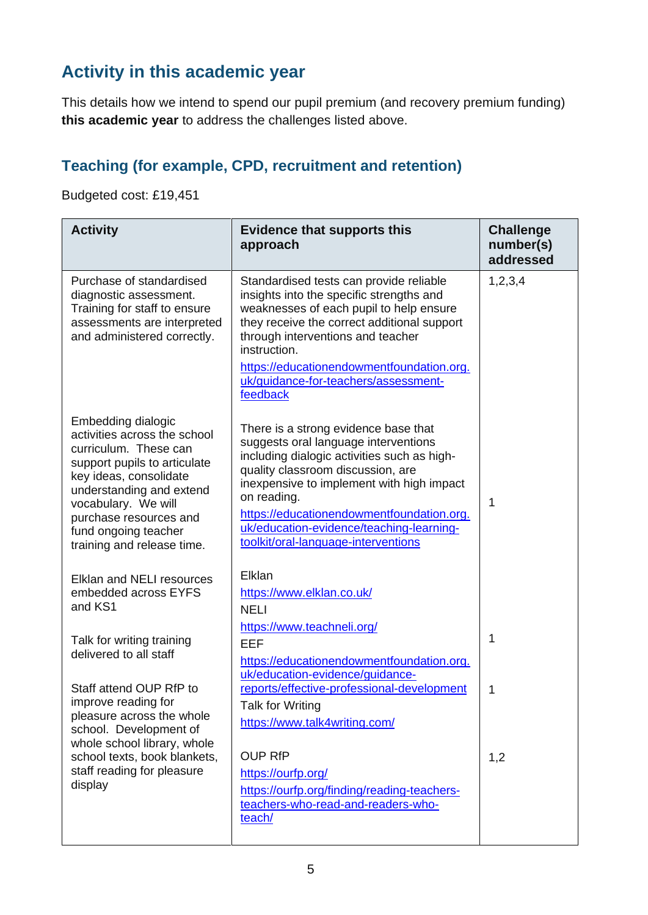## **Activity in this academic year**

This details how we intend to spend our pupil premium (and recovery premium funding) **this academic year** to address the challenges listed above.

#### **Teaching (for example, CPD, recruitment and retention)**

Budgeted cost: £19,451

| <b>Activity</b>                                                                                                                                                                                                                                                          | <b>Evidence that supports this</b><br>approach                                                                                                                                                                                                                                                                                                               | <b>Challenge</b><br>number(s)<br>addressed |
|--------------------------------------------------------------------------------------------------------------------------------------------------------------------------------------------------------------------------------------------------------------------------|--------------------------------------------------------------------------------------------------------------------------------------------------------------------------------------------------------------------------------------------------------------------------------------------------------------------------------------------------------------|--------------------------------------------|
| Purchase of standardised<br>diagnostic assessment.<br>Training for staff to ensure<br>assessments are interpreted<br>and administered correctly.                                                                                                                         | Standardised tests can provide reliable<br>insights into the specific strengths and<br>weaknesses of each pupil to help ensure<br>they receive the correct additional support<br>through interventions and teacher<br>instruction.<br>https://educationendowmentfoundation.org.<br>uk/guidance-for-teachers/assessment-<br>feedback                          | 1, 2, 3, 4                                 |
| Embedding dialogic<br>activities across the school<br>curriculum. These can<br>support pupils to articulate<br>key ideas, consolidate<br>understanding and extend<br>vocabulary. We will<br>purchase resources and<br>fund ongoing teacher<br>training and release time. | There is a strong evidence base that<br>suggests oral language interventions<br>including dialogic activities such as high-<br>quality classroom discussion, are<br>inexpensive to implement with high impact<br>on reading.<br>https://educationendowmentfoundation.org.<br>uk/education-evidence/teaching-learning-<br>toolkit/oral-language-interventions | 1                                          |
| <b>Elklan and NELI resources</b><br>embedded across EYFS<br>and KS1                                                                                                                                                                                                      | Elklan<br>https://www.elklan.co.uk/<br><b>NELI</b>                                                                                                                                                                                                                                                                                                           |                                            |
| Talk for writing training<br>delivered to all staff                                                                                                                                                                                                                      | https://www.teachneli.org/<br><b>EEF</b><br>https://educationendowmentfoundation.org.<br>uk/education-evidence/guidance-                                                                                                                                                                                                                                     | 1                                          |
| Staff attend OUP RfP to<br>improve reading for<br>pleasure across the whole<br>school. Development of<br>whole school library, whole                                                                                                                                     | reports/effective-professional-development<br><b>Talk for Writing</b><br>https://www.talk4writing.com/                                                                                                                                                                                                                                                       | 1                                          |
| school texts, book blankets,<br>staff reading for pleasure<br>display                                                                                                                                                                                                    | <b>OUP RfP</b><br>https://ourfp.org/<br>https://ourfp.org/finding/reading-teachers-<br>teachers-who-read-and-readers-who-<br>teach/                                                                                                                                                                                                                          | 1,2                                        |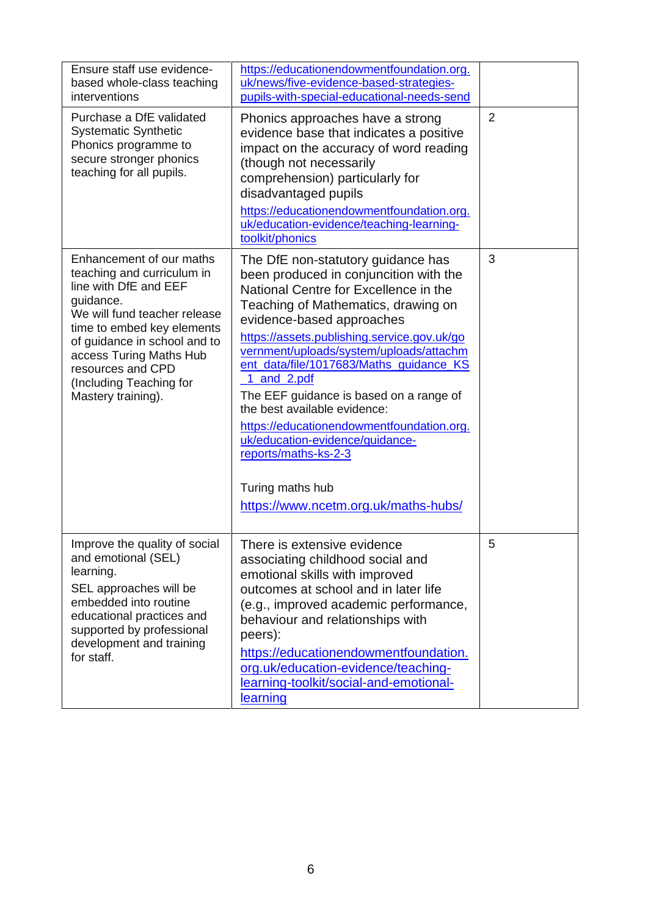| Ensure staff use evidence-<br>based whole-class teaching<br>interventions<br>Purchase a DfE validated<br><b>Systematic Synthetic</b><br>Phonics programme to<br>secure stronger phonics<br>teaching for all pupils.                                                                         | https://educationendowmentfoundation.org.<br>uk/news/five-evidence-based-strategies-<br>pupils-with-special-educational-needs-send<br>Phonics approaches have a strong<br>evidence base that indicates a positive<br>impact on the accuracy of word reading<br>(though not necessarily<br>comprehension) particularly for<br>disadvantaged pupils<br>https://educationendowmentfoundation.org.<br>uk/education-evidence/teaching-learning-                                                                                                                                                                      | $\overline{2}$ |
|---------------------------------------------------------------------------------------------------------------------------------------------------------------------------------------------------------------------------------------------------------------------------------------------|-----------------------------------------------------------------------------------------------------------------------------------------------------------------------------------------------------------------------------------------------------------------------------------------------------------------------------------------------------------------------------------------------------------------------------------------------------------------------------------------------------------------------------------------------------------------------------------------------------------------|----------------|
| Enhancement of our maths<br>teaching and curriculum in<br>line with DfE and EEF<br>guidance.<br>We will fund teacher release<br>time to embed key elements<br>of guidance in school and to<br>access Turing Maths Hub<br>resources and CPD<br>(Including Teaching for<br>Mastery training). | toolkit/phonics<br>The DfE non-statutory guidance has<br>been produced in conjuncition with the<br>National Centre for Excellence in the<br>Teaching of Mathematics, drawing on<br>evidence-based approaches<br>https://assets.publishing.service.gov.uk/go<br>vernment/uploads/system/uploads/attachm<br>ent_data/file/1017683/Maths_guidance_KS<br>1_and_2.pdf<br>The EEF guidance is based on a range of<br>the best available evidence:<br>https://educationendowmentfoundation.org.<br>uk/education-evidence/guidance-<br>reports/maths-ks-2-3<br>Turing maths hub<br>https://www.ncetm.org.uk/maths-hubs/ | 3              |
| Improve the quality of social<br>and emotional (SEL)<br>learning.<br>SEL approaches will be<br>embedded into routine<br>educational practices and<br>supported by professional<br>development and training<br>for staff.                                                                    | There is extensive evidence<br>associating childhood social and<br>emotional skills with improved<br>outcomes at school and in later life<br>(e.g., improved academic performance,<br>behaviour and relationships with<br>peers):<br>https://educationendowmentfoundation.<br>org.uk/education-evidence/teaching-<br>learning-toolkit/social-and-emotional-<br>learning                                                                                                                                                                                                                                         | 5              |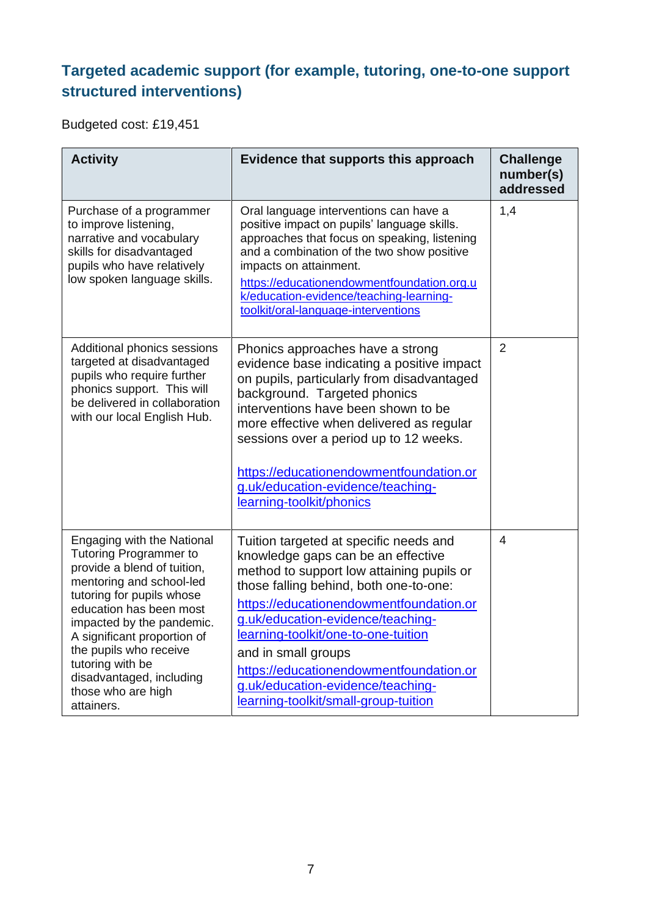#### **Targeted academic support (for example, tutoring, one-to-one support structured interventions)**

Budgeted cost: £19,451

| <b>Activity</b>                                                                                                                                                                                                                                                                                                                                                 | Evidence that supports this approach                                                                                                                                                                                                                                                                                                                                                                                                      | <b>Challenge</b><br>number(s)<br>addressed |
|-----------------------------------------------------------------------------------------------------------------------------------------------------------------------------------------------------------------------------------------------------------------------------------------------------------------------------------------------------------------|-------------------------------------------------------------------------------------------------------------------------------------------------------------------------------------------------------------------------------------------------------------------------------------------------------------------------------------------------------------------------------------------------------------------------------------------|--------------------------------------------|
| Purchase of a programmer<br>to improve listening,<br>narrative and vocabulary<br>skills for disadvantaged<br>pupils who have relatively<br>low spoken language skills.                                                                                                                                                                                          | Oral language interventions can have a<br>positive impact on pupils' language skills.<br>approaches that focus on speaking, listening<br>and a combination of the two show positive<br>impacts on attainment.<br>https://educationendowmentfoundation.org.u<br>k/education-evidence/teaching-learning-<br>toolkit/oral-language-interventions                                                                                             | 1,4                                        |
| Additional phonics sessions<br>targeted at disadvantaged<br>pupils who require further<br>phonics support. This will<br>be delivered in collaboration<br>with our local English Hub.                                                                                                                                                                            | Phonics approaches have a strong<br>evidence base indicating a positive impact<br>on pupils, particularly from disadvantaged<br>background. Targeted phonics<br>interventions have been shown to be<br>more effective when delivered as regular<br>sessions over a period up to 12 weeks.<br>https://educationendowmentfoundation.or<br>g.uk/education-evidence/teaching-<br>learning-toolkit/phonics                                     | $\overline{2}$                             |
| <b>Engaging with the National</b><br><b>Tutoring Programmer to</b><br>provide a blend of tuition,<br>mentoring and school-led<br>tutoring for pupils whose<br>education has been most<br>impacted by the pandemic.<br>A significant proportion of<br>the pupils who receive<br>tutoring with be<br>disadvantaged, including<br>those who are high<br>attainers. | Tuition targeted at specific needs and<br>knowledge gaps can be an effective<br>method to support low attaining pupils or<br>those falling behind, both one-to-one:<br>https://educationendowmentfoundation.or<br>g.uk/education-evidence/teaching-<br>learning-toolkit/one-to-one-tuition<br>and in small groups<br>https://educationendowmentfoundation.or<br>g.uk/education-evidence/teaching-<br>learning-toolkit/small-group-tuition | $\overline{4}$                             |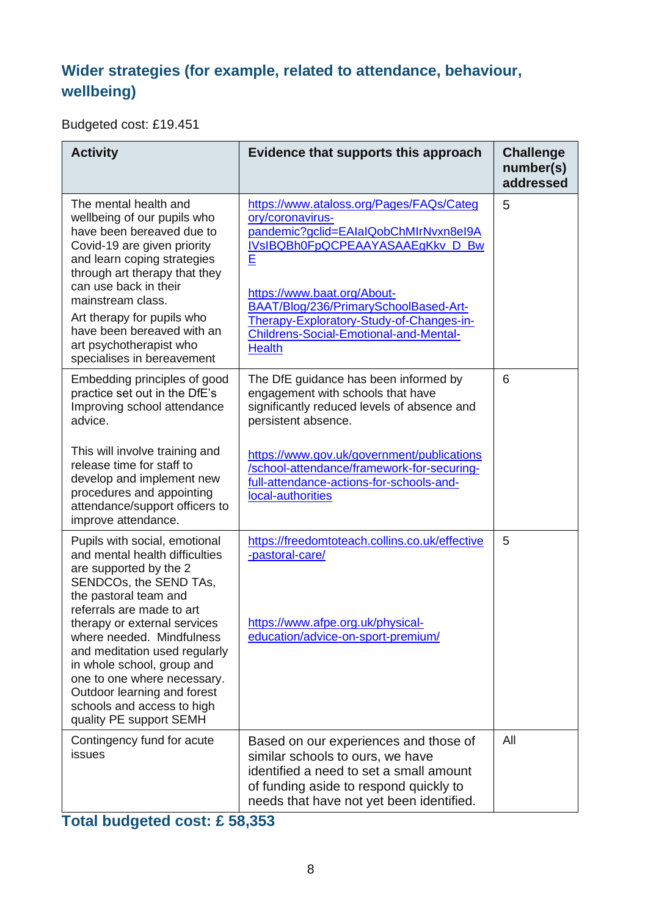#### **Wider strategies (for example, related to attendance, behaviour, wellbeing)**

Budgeted cost: £19.451

| <b>Activity</b>                                                                                                                                                                                                                                                                                                                                                                                                              | Evidence that supports this approach                                                                                                                                                                                                                                                                                                 | <b>Challenge</b><br>number(s)<br>addressed |
|------------------------------------------------------------------------------------------------------------------------------------------------------------------------------------------------------------------------------------------------------------------------------------------------------------------------------------------------------------------------------------------------------------------------------|--------------------------------------------------------------------------------------------------------------------------------------------------------------------------------------------------------------------------------------------------------------------------------------------------------------------------------------|--------------------------------------------|
| The mental health and<br>wellbeing of our pupils who<br>have been bereaved due to<br>Covid-19 are given priority<br>and learn coping strategies<br>through art therapy that they<br>can use back in their<br>mainstream class.<br>Art therapy for pupils who<br>have been bereaved with an<br>art psychotherapist who<br>specialises in bereavement                                                                          | https://www.ataloss.org/Pages/FAQs/Categ<br>ory/coronavirus-<br>pandemic?gclid=EAIaIQobChMIrNvxn8eI9A<br>IVsIBQBh0FpQCPEAAYASAAEgKkv_D_Bw<br>E<br>https://www.baat.org/About-<br>BAAT/Blog/236/PrimarySchoolBased-Art-<br>Therapy-Exploratory-Study-of-Changes-in-<br><b>Childrens-Social-Emotional-and-Mental-</b><br><b>Health</b> | 5                                          |
| Embedding principles of good<br>practice set out in the DfE's<br>Improving school attendance<br>advice.<br>This will involve training and<br>release time for staff to<br>develop and implement new<br>procedures and appointing<br>attendance/support officers to<br>improve attendance.                                                                                                                                    | The DfE guidance has been informed by<br>engagement with schools that have<br>significantly reduced levels of absence and<br>persistent absence.<br>https://www.gov.uk/government/publications<br>/school-attendance/framework-for-securing-<br>full-attendance-actions-for-schools-and-<br>local-authorities                        | 6                                          |
| Pupils with social, emotional<br>and mental health difficulties<br>are supported by the 2<br>SENDCOs, the SEND TAs,<br>the pastoral team and<br>referrals are made to art<br>therapy or external services<br>where needed. Mindfulness<br>and meditation used regularly<br>in whole school, group and<br>one to one where necessary.<br>Outdoor learning and forest<br>schools and access to high<br>quality PE support SEMH | https://freedomtoteach.collins.co.uk/effective<br>-pastoral-care/<br>https://www.afpe.org.uk/physical-<br>education/advice-on-sport-premium/                                                                                                                                                                                         | 5                                          |
| Contingency fund for acute<br>issues                                                                                                                                                                                                                                                                                                                                                                                         | Based on our experiences and those of<br>similar schools to ours, we have<br>identified a need to set a small amount<br>of funding aside to respond quickly to<br>needs that have not yet been identified.                                                                                                                           | All                                        |

**Total budgeted cost: £ 58,353**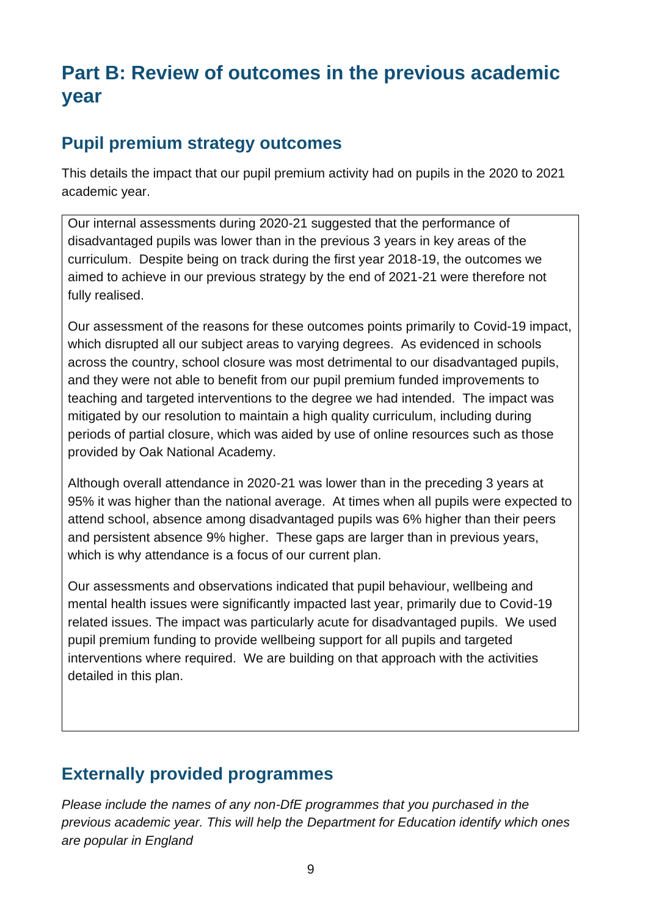# **Part B: Review of outcomes in the previous academic year**

#### **Pupil premium strategy outcomes**

This details the impact that our pupil premium activity had on pupils in the 2020 to 2021 academic year.

Our internal assessments during 2020-21 suggested that the performance of disadvantaged pupils was lower than in the previous 3 years in key areas of the curriculum. Despite being on track during the first year 2018-19, the outcomes we aimed to achieve in our previous strategy by the end of 2021-21 were therefore not fully realised.

Our assessment of the reasons for these outcomes points primarily to Covid-19 impact, which disrupted all our subject areas to varying degrees. As evidenced in schools across the country, school closure was most detrimental to our disadvantaged pupils, and they were not able to benefit from our pupil premium funded improvements to teaching and targeted interventions to the degree we had intended. The impact was mitigated by our resolution to maintain a high quality curriculum, including during periods of partial closure, which was aided by use of online resources such as those provided by Oak National Academy.

Although overall attendance in 2020-21 was lower than in the preceding 3 years at 95% it was higher than the national average. At times when all pupils were expected to attend school, absence among disadvantaged pupils was 6% higher than their peers and persistent absence 9% higher. These gaps are larger than in previous years, which is why attendance is a focus of our current plan.

Our assessments and observations indicated that pupil behaviour, wellbeing and mental health issues were significantly impacted last year, primarily due to Covid-19 related issues. The impact was particularly acute for disadvantaged pupils. We used pupil premium funding to provide wellbeing support for all pupils and targeted interventions where required. We are building on that approach with the activities detailed in this plan.

#### **Externally provided programmes**

*Please include the names of any non-DfE programmes that you purchased in the previous academic year. This will help the Department for Education identify which ones are popular in England*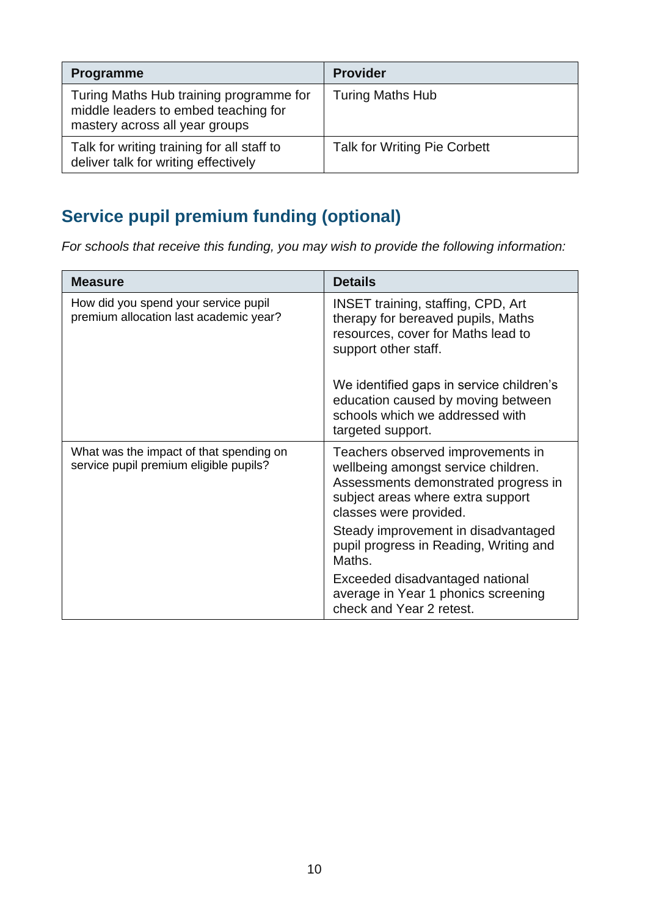| <b>Programme</b>                                                                                                  | <b>Provider</b>                     |
|-------------------------------------------------------------------------------------------------------------------|-------------------------------------|
| Turing Maths Hub training programme for<br>middle leaders to embed teaching for<br>mastery across all year groups | <b>Turing Maths Hub</b>             |
| Talk for writing training for all staff to<br>deliver talk for writing effectively                                | <b>Talk for Writing Pie Corbett</b> |

## **Service pupil premium funding (optional)**

*For schools that receive this funding, you may wish to provide the following information:* 

| <b>Measure</b>                                                                    | <b>Details</b>                                                                                                                                                                  |
|-----------------------------------------------------------------------------------|---------------------------------------------------------------------------------------------------------------------------------------------------------------------------------|
| How did you spend your service pupil<br>premium allocation last academic year?    | <b>INSET training, staffing, CPD, Art</b><br>therapy for bereaved pupils, Maths<br>resources, cover for Maths lead to<br>support other staff.                                   |
|                                                                                   | We identified gaps in service children's<br>education caused by moving between<br>schools which we addressed with<br>targeted support.                                          |
| What was the impact of that spending on<br>service pupil premium eligible pupils? | Teachers observed improvements in<br>wellbeing amongst service children.<br>Assessments demonstrated progress in<br>subject areas where extra support<br>classes were provided. |
|                                                                                   | Steady improvement in disadvantaged<br>pupil progress in Reading, Writing and<br>Maths.                                                                                         |
|                                                                                   | Exceeded disadvantaged national<br>average in Year 1 phonics screening<br>check and Year 2 retest.                                                                              |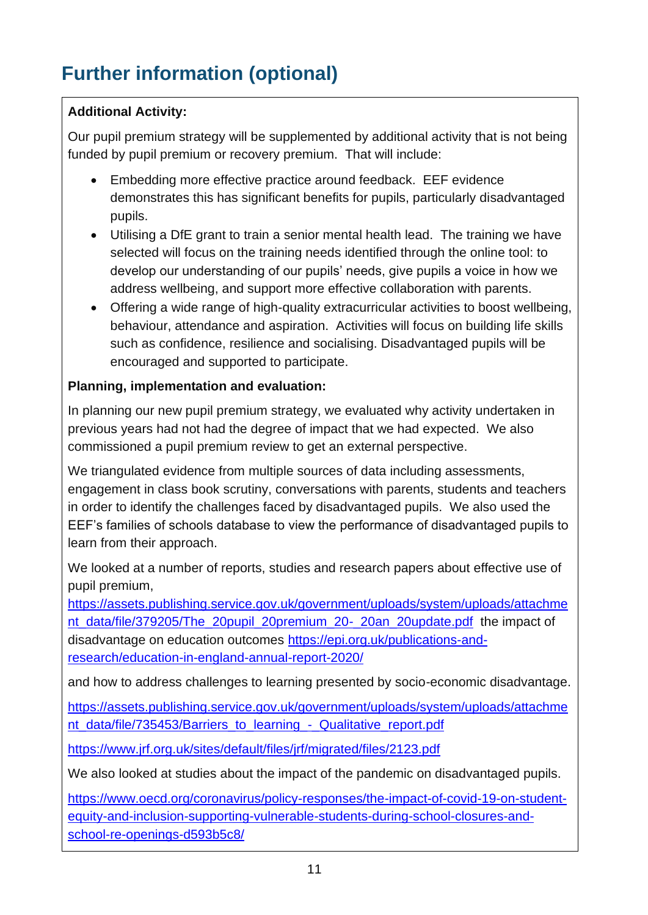# **Further information (optional)**

#### **Additional Activity:**

Our pupil premium strategy will be supplemented by additional activity that is not being funded by pupil premium or recovery premium. That will include:

- Embedding more effective practice around feedback. EEF evidence demonstrates this has significant benefits for pupils, particularly disadvantaged pupils.
- Utilising a DfE grant to train a senior mental health lead. The training we have selected will focus on the training needs identified through the online tool: to develop our understanding of our pupils' needs, give pupils a voice in how we address wellbeing, and support more effective collaboration with parents.
- Offering a wide range of high-quality extracurricular activities to boost wellbeing. behaviour, attendance and aspiration. Activities will focus on building life skills such as confidence, resilience and socialising. Disadvantaged pupils will be encouraged and supported to participate.

#### **Planning, implementation and evaluation:**

In planning our new pupil premium strategy, we evaluated why activity undertaken in previous years had not had the degree of impact that we had expected. We also commissioned a pupil premium review to get an external perspective.

We triangulated evidence from multiple sources of data including assessments, engagement in class book scrutiny, conversations with parents, students and teachers in order to identify the challenges faced by disadvantaged pupils. We also used the EEF's families of schools database to view the performance of disadvantaged pupils to learn from their approach.

We looked at a number of reports, studies and research papers about effective use of pupil premium,

[https://assets.publishing.service.gov.uk/government/uploads/system/uploads/attachme](https://assets.publishing.service.gov.uk/government/uploads/system/uploads/attachment_data/file/379205/The_20pupil_20premium_20-_20an_20update.pdf) [nt\\_data/file/379205/The\\_20pupil\\_20premium\\_20-\\_20an\\_20update.pdf](https://assets.publishing.service.gov.uk/government/uploads/system/uploads/attachment_data/file/379205/The_20pupil_20premium_20-_20an_20update.pdf)\_the impact of disadvantage on education outcomes [https://epi.org.uk/publications-and](https://epi.org.uk/publications-and-research/education-in-england-annual-report-2020/)[research/education-in-england-annual-report-2020/](https://epi.org.uk/publications-and-research/education-in-england-annual-report-2020/)

and how to address challenges to learning presented by socio-economic disadvantage.

[https://assets.publishing.service.gov.uk/government/uploads/system/uploads/attachme](https://assets.publishing.service.gov.uk/government/uploads/system/uploads/attachment_data/file/735453/Barriers_to_learning_-_Qualitative_report.pdf) [nt\\_data/file/735453/Barriers\\_to\\_learning\\_-\\_Qualitative\\_report.pdf](https://assets.publishing.service.gov.uk/government/uploads/system/uploads/attachment_data/file/735453/Barriers_to_learning_-_Qualitative_report.pdf)

<https://www.jrf.org.uk/sites/default/files/jrf/migrated/files/2123.pdf>

We also looked at studies about the impact of the pandemic on disadvantaged pupils.

[https://www.oecd.org/coronavirus/policy-responses/the-impact-of-covid-19-on-student](https://www.oecd.org/coronavirus/policy-responses/the-impact-of-covid-19-on-student-equity-and-inclusion-supporting-vulnerable-students-during-school-closures-and-school-re-openings-d593b5c8/)[equity-and-inclusion-supporting-vulnerable-students-during-school-closures-and](https://www.oecd.org/coronavirus/policy-responses/the-impact-of-covid-19-on-student-equity-and-inclusion-supporting-vulnerable-students-during-school-closures-and-school-re-openings-d593b5c8/)[school-re-openings-d593b5c8/](https://www.oecd.org/coronavirus/policy-responses/the-impact-of-covid-19-on-student-equity-and-inclusion-supporting-vulnerable-students-during-school-closures-and-school-re-openings-d593b5c8/)